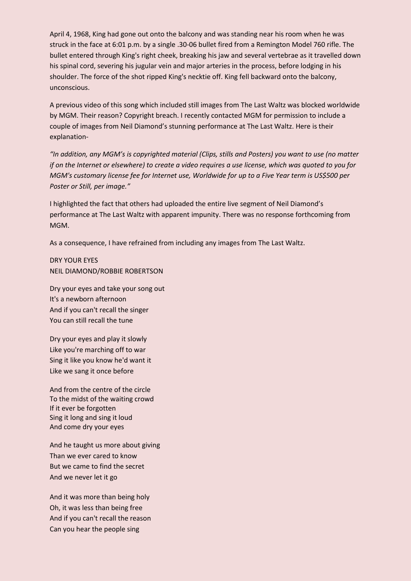April 4, 1968, King had gone out onto the balcony and was standing near his room when he was struck in the face at 6:01 p.m. by a single .30-06 bullet fired from a Remington Model 760 rifle. The bullet entered through King's right cheek, breaking his jaw and several vertebrae as it travelled down his spinal cord, severing his jugular vein and major arteries in the process, before lodging in his shoulder. The force of the shot ripped King's necktie off. King fell backward onto the balcony, unconscious.

A previous video of this song which included still images from The Last Waltz was blocked worldwide by MGM. Their reason? Copyright breach. I recently contacted MGM for permission to include a couple of images from Neil Diamond's stunning performance at The Last Waltz. Here is their explanation-

*"In addition, any MGM's is copyrighted material (Clips, stills and Posters) you want to use (no matter if on the Internet or elsewhere) to create a video requires a use license, which was quoted to you for MGM's customary license fee for Internet use, Worldwide for up to a Five Year term is US\$500 per Poster or Still, per image."* 

I highlighted the fact that others had uploaded the entire live segment of Neil Diamond's performance at The Last Waltz with apparent impunity. There was no response forthcoming from MGM.

As a consequence, I have refrained from including any images from The Last Waltz.

DRY YOUR EYES NEIL DIAMOND/ROBBIE ROBERTSON

Dry your eyes and take your song out It's a newborn afternoon And if you can't recall the singer You can still recall the tune

Dry your eyes and play it slowly Like you're marching off to war Sing it like you know he'd want it Like we sang it once before

And from the centre of the circle To the midst of the waiting crowd If it ever be forgotten Sing it long and sing it loud And come dry your eyes

And he taught us more about giving Than we ever cared to know But we came to find the secret And we never let it go

And it was more than being holy Oh, it was less than being free And if you can't recall the reason Can you hear the people sing